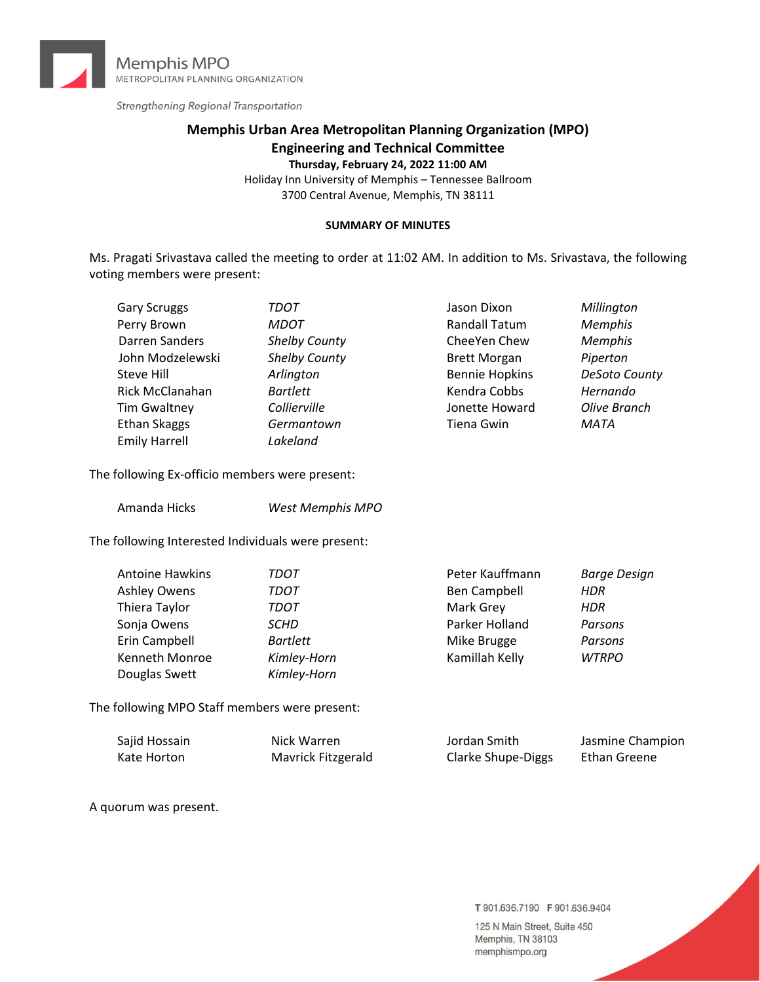

Strengthening Regional Transportation

# **Memphis Urban Area Metropolitan Planning Organization (MPO) Engineering and Technical Committee**

**Thursday, February 24, 2022 11:00 AM**

Holiday Inn University of Memphis – Tennessee Ballroom 3700 Central Avenue, Memphis, TN 38111

#### **SUMMARY OF MINUTES**

Ms. Pragati Srivastava called the meeting to order at 11:02 AM. In addition to Ms. Srivastava, the following voting members were present:

| <b>Gary Scruggs</b>  | TDOT            | Jason Dixon           | Millington          |
|----------------------|-----------------|-----------------------|---------------------|
| Perry Brown          | <b>MDOT</b>     | <b>Randall Tatum</b>  | <b>Memphis</b>      |
| Darren Sanders       | Shelby County   | CheeYen Chew          | <b>Memphis</b>      |
| John Modzelewski     | Shelby County   | <b>Brett Morgan</b>   | Piperton            |
| Steve Hill           | Arlington       | <b>Bennie Hopkins</b> | DeSoto County       |
| Rick McClanahan      | <b>Bartlett</b> | Kendra Cobbs          | Hernando            |
| <b>Tim Gwaltney</b>  | Collierville    | Jonette Howard        | <b>Olive Branch</b> |
| <b>Ethan Skaggs</b>  | Germantown      | <b>Tiena Gwin</b>     | MATA                |
| <b>Emily Harrell</b> | Lakeland        |                       |                     |

The following Ex-officio members were present:

| Amanda Hicks | <b>West Memphis MPO</b> |
|--------------|-------------------------|
|--------------|-------------------------|

The following Interested Individuals were present:

| Antoine Hawkins | TDOT            | Peter Kauffmann | Barge Design |
|-----------------|-----------------|-----------------|--------------|
| Ashley Owens    | TDOT            | Ben Campbell    | <b>HDR</b>   |
| Thiera Taylor   | TDOT            | Mark Grey       | <b>HDR</b>   |
| Sonja Owens     | <b>SCHD</b>     | Parker Holland  | Parsons      |
| Erin Campbell   | <b>Bartlett</b> | Mike Brugge     | Parsons      |
| Kenneth Monroe  | Kimley-Horn     | Kamillah Kelly  | <b>WTRPO</b> |
| Douglas Swett   | Kimley-Horn     |                 |              |

The following MPO Staff members were present:

| Sajid Hossain | Nick Warren        | Jordan Smith       | Jasmine Champion |
|---------------|--------------------|--------------------|------------------|
| Kate Horton   | Mavrick Fitzgerald | Clarke Shupe-Diggs | Ethan Greene     |

A quorum was present.

T 901.636.7190 F 901.636.9404

125 N Main Street, Suite 450 Memphis, TN 38103 memphismpo.org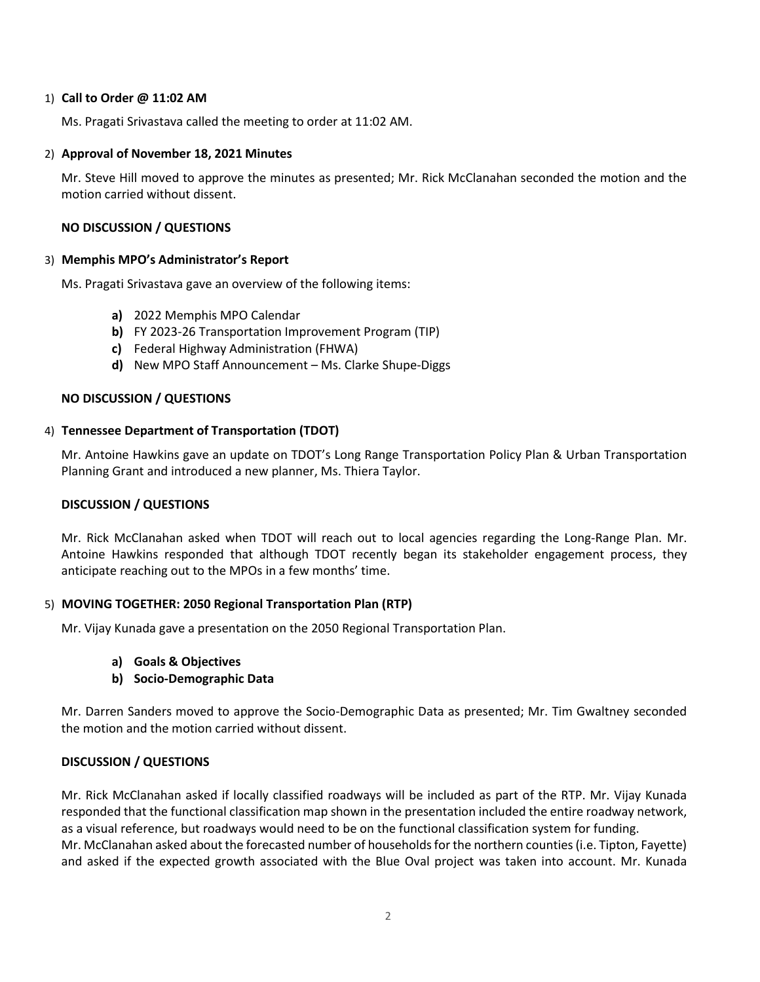#### 1) **Call to Order @ 11:02 AM**

Ms. Pragati Srivastava called the meeting to order at 11:02 AM.

#### 2) **Approval of November 18, 2021 Minutes**

Mr. Steve Hill moved to approve the minutes as presented; Mr. Rick McClanahan seconded the motion and the motion carried without dissent.

#### **NO DISCUSSION / QUESTIONS**

#### 3) **Memphis MPO's Administrator's Report**

Ms. Pragati Srivastava gave an overview of the following items:

- **a)** 2022 Memphis MPO Calendar
- **b)** FY 2023-26 Transportation Improvement Program (TIP)
- **c)** Federal Highway Administration (FHWA)
- **d)** New MPO Staff Announcement Ms. Clarke Shupe-Diggs

# **NO DISCUSSION / QUESTIONS**

#### 4) **Tennessee Department of Transportation (TDOT)**

Mr. Antoine Hawkins gave an update on TDOT's Long Range Transportation Policy Plan & Urban Transportation Planning Grant and introduced a new planner, Ms. Thiera Taylor.

# **DISCUSSION / QUESTIONS**

Mr. Rick McClanahan asked when TDOT will reach out to local agencies regarding the Long-Range Plan. Mr. Antoine Hawkins responded that although TDOT recently began its stakeholder engagement process, they anticipate reaching out to the MPOs in a few months' time.

# 5) **MOVING TOGETHER: 2050 Regional Transportation Plan (RTP)**

Mr. Vijay Kunada gave a presentation on the 2050 Regional Transportation Plan.

- **a) Goals & Objectives**
- **b) Socio-Demographic Data**

Mr. Darren Sanders moved to approve the Socio-Demographic Data as presented; Mr. Tim Gwaltney seconded the motion and the motion carried without dissent.

# **DISCUSSION / QUESTIONS**

Mr. Rick McClanahan asked if locally classified roadways will be included as part of the RTP. Mr. Vijay Kunada responded that the functional classification map shown in the presentation included the entire roadway network, as a visual reference, but roadways would need to be on the functional classification system for funding. Mr. McClanahan asked about the forecasted number of households for the northern counties (i.e. Tipton, Fayette) and asked if the expected growth associated with the Blue Oval project was taken into account. Mr. Kunada